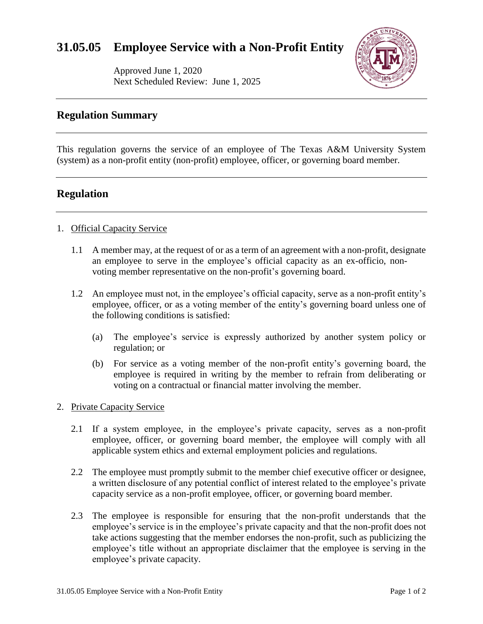# **31.05.05 Employee Service with a Non-Profit Entity**

Approved June 1, 2020 Next Scheduled Review: June 1, 2025



## **Regulation Summary**

This regulation governs the service of an employee of The Texas A&M University System (system) as a non-profit entity (non-profit) employee, officer, or governing board member.

## **Regulation**

#### 1. Official Capacity Service

- 1.1 A member may, at the request of or as a term of an agreement with a non-profit, designate an employee to serve in the employee's official capacity as an ex-officio, nonvoting member representative on the non-profit's governing board.
- 1.2 An employee must not, in the employee's official capacity, serve as a non-profit entity's employee, officer, or as a voting member of the entity's governing board unless one of the following conditions is satisfied:
	- (a) The employee's service is expressly authorized by another system policy or regulation; or
	- (b) For service as a voting member of the non-profit entity's governing board, the employee is required in writing by the member to refrain from deliberating or voting on a contractual or financial matter involving the member.

#### 2. Private Capacity Service

- 2.1 If a system employee, in the employee's private capacity, serves as a non-profit employee, officer, or governing board member, the employee will comply with all applicable system ethics and external employment policies and regulations.
- 2.2 The employee must promptly submit to the member chief executive officer or designee, a written disclosure of any potential conflict of interest related to the employee's private capacity service as a non-profit employee, officer, or governing board member.
- 2.3 The employee is responsible for ensuring that the non-profit understands that the employee's service is in the employee's private capacity and that the non-profit does not take actions suggesting that the member endorses the non-profit, such as publicizing the employee's title without an appropriate disclaimer that the employee is serving in the employee's private capacity.